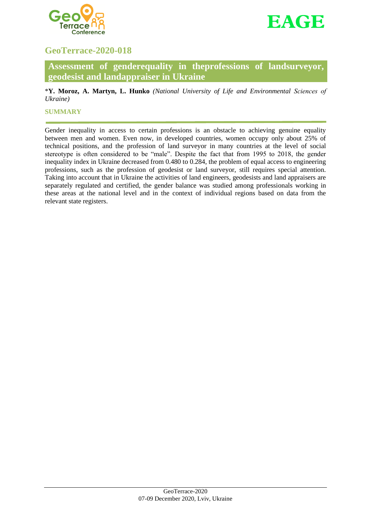



# **GeoTerrace-2020-018**

**Assessment of genderequality in theprofessions of landsurveyor, geodesist and landappraiser in Ukraine**

\***Y. Moroz, A. Martyn, L. Hunko** *(National University of Life and Environmental Scienсes of Ukraine)*

## **SUMMARY**

Gender inequality in access to certain professions is an obstacle to achieving genuine equality between men and women. Even now, in developed countries, women occupy only about 25% of technical positions, and the profession of land surveyor in many countries at the level of social stereotype is often considered to be "male". Despite the fact that from 1995 to 2018, the gender inequality index in Ukraine decreased from 0.480 to 0.284, the problem of equal access to engineering professions, such as the profession of geodesist or land surveyor, still requires special attention. Taking into account that in Ukraine the activities of land engineers, geodesists and land appraisers are separately regulated and certified, the gender balance was studied among professionals working in these areas at the national level and in the context of individual regions based on data from the relevant state registers.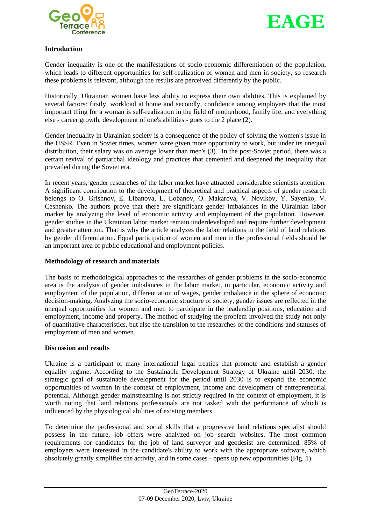



## **Introduction**

Gender inequality is one of the manifestations of socio-economic differentiation of the population, which leads to different opportunities for self-realization of women and men in society, so research these problems is relevant, although the results are perceived differently by the public.

Historically, Ukrainian women have less ability to express their own abilities. This is explained by several factors: firstly, workload at home and secondly, confidence among employers that the most important thing for a woman is self-realization in the field of motherhood, family life, and everything else - career growth, development of one's abilities - goes to the 2 place (2).

Gender inequality in Ukrainian society is a consequence of the policy of solving the women's issue in the USSR. Even in Soviet times, women were given more opportunity to work, but under its unequal distribution, their salary was on average lower than men's (3). In the post-Soviet period, there was a certain revival of patriarchal ideology and practices that cemented and deepened the inequality that prevailed during the Soviet era.

In recent years, gender researches of the labor market have attracted considerable scientists attention. A significant contribution to the development of theoretical and practical aspects of gender research belongs to O. Grishnov, E. Libanova, L. Lobanov, O. Makarova, V. Novikov, Y. Sayenko, V. Ceshenko. The authors prove that there are significant gender imbalances in the Ukrainian labor market by analyzing the level of economic activity and employment of the population. However, gender studies in the Ukrainian labor market remain underdeveloped and require further development and greater attention. That is why the article analyzes the labor relations in the field of land relations by gender differentiation. Equal participation of women and men in the professional fields should be an important area of public educational and employment policies.

# **Methodology of research and materials**

The basis of methodological approaches to the researches of gender problems in the socio-economic area is the analysis of gender imbalances in the labor market, in particular, economic activity and employment of the population, differentiation of wages, gender imbalance in the sphere of economic decision-making. Analyzing the socio-economic structure of society, gender issues are reflected in the unequal opportunities for women and men to participate in the leadership positions, education and employment, income and property. The method of studying the problem involved the study not only of quantitative characteristics, but also the transition to the researches of the conditions and statuses of employment of men and women.

#### **Discussion and results**

Ukraine is a participant of many international legal treaties that promote and establish a gender equality regime. According to the Sustainable Development Strategy of Ukraine until 2030, the strategic goal of sustainable development for the period until 2030 is to expand the economic opportunities of women in the context of employment, income and development of entrepreneurial potential. Although gender mainstreaming is not strictly required in the context of employment, it is worth noting that land relations professionals are not tasked with the performance of which is influenced by the physiological abilities of existing members.

To determine the professional and social skills that a progressive land relations specialist should possess in the future, job offers were analyzed on job search websites. The most common requirements for candidates for the job of land surveyor and geodesist are determined. 85% of employers were interested in the candidate's ability to work with the appropriate software, which absolutely greatly simplifies the activity, and in some cases - opens up new opportunities (Fig. 1).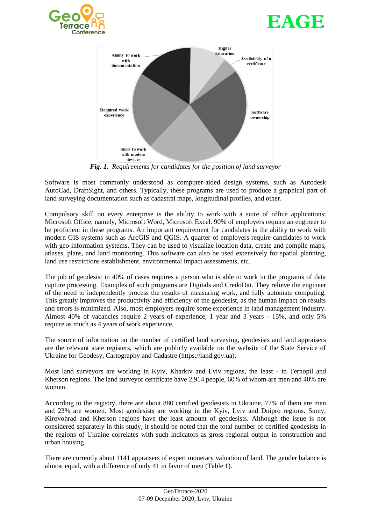





*Fig. 1. Requirements for candidates for the position of land surveyor*

Software is most commonly understood as computer-aided design systems, such as Autodesk AutoCad, DraftSight, and others. Typically, these programs are used to produce a graphical part of land surveying documentation such as cadastral maps, longitudinal profiles, and other.

Compulsory skill on every enterprise is the ability to work with a suite of office applications: Microsoft Office, namely, Microsoft Word, Microsoft Excel. 90% of employers require an engineer to be proficient in these programs. An important requirement for candidates is the ability to work with modern GIS systems such as ArcGIS and QGIS. A quarter of employers require candidates to work with geo-information systems. They can be used to visualize location data, create and compile maps, atlases, plans, and land monitoring. This software can also be used extensively for spatial planning, land use restrictions establishment, environmental impact assessments, etc.

The job of geodesist in 40% of cases requires a person who is able to work in the programs of data capture processing. Examples of such programs are Digitals and CredoDat. They relieve the engineer of the need to independently process the results of measuring work, and fully automate computing. This greatly improves the productivity and efficiency of the geodesist, as the human impact on results and errors is minimized. Also, most employers require some experience in land management industry. Almost 40% of vacancies require 2 years of experience, 1 year and 3 years - 15%, and only 5% require as much as 4 years of work experience.

The source of information on the number of certified land surveying, geodesists and land appraisers are the relevant state registers, which are publicly available on the website of the State Service of Ukraine for Geodesy, Cartography and Cadastre (https://land.gov.ua).

Most land surveyors are working in Kyiv, Kharkiv and Lviv regions, the least - in Ternopil and Kherson regions. The land surveyor certificate have 2,914 people, 60% of whom are men and 40% are women.

According to the registry, there are about 880 certified geodesists in Ukraine. 77% of them are men and 23% are women. Most geodesists are working in the Kyiv, Lviv and Dnipro regions. Sumy, Kirovohrad and Kherson regions have the least amount of geodesists. Although the issue is not considered separately in this study, it should be noted that the total number of certified geodesists in the regions of Ukraine correlates with such indicators as gross regional output in construction and urban housing.

There are currently about 1141 appraisers of expert monetary valuation of land. The gender balance is almost equal, with a difference of only 41 in favor of men (Table 1).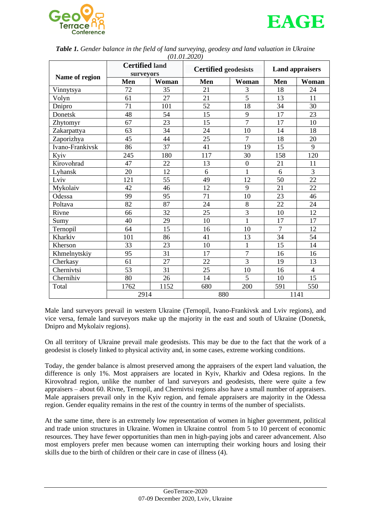



|                 | <b>Certified land</b><br>surveyors |       | 10110112020<br><b>Certified geodesists</b> |                  | <b>Land appraisers</b> |                |
|-----------------|------------------------------------|-------|--------------------------------------------|------------------|------------------------|----------------|
| Name of region  | Men                                | Woman | Men                                        | Woman            | Men                    | Woman          |
| Vinnytsya       | 72                                 | 35    | 21                                         | 3                | 18                     | 24             |
| Volyn           | 61                                 | 27    | 21                                         | $\overline{5}$   | 13                     | 11             |
| Dnipro          | 71                                 | 101   | 52                                         | 18               | 34                     | 30             |
| Donetsk         | 48                                 | 54    | 15                                         | 9                | 17                     | 23             |
| Zhytomyr        | 67                                 | 23    | 15                                         | $\overline{7}$   | 17                     | 10             |
| Zakarpattya     | 63                                 | 34    | 24                                         | 10               | 14                     | 18             |
| Zaporizhya      | 45                                 | 44    | 25                                         | $\overline{7}$   | 18                     | 20             |
| Ivano-Frankivsk | 86                                 | 37    | 41                                         | 19               | 15                     | 9              |
| Kyiv            | 245                                | 180   | 117                                        | 30               | 158                    | 120            |
| Kirovohrad      | 47                                 | 22    | 13                                         | $\boldsymbol{0}$ | 21                     | 11             |
| Lyhansk         | 20                                 | 12    | 6                                          | $\mathbf{1}$     | 6                      | $\overline{3}$ |
| Lviv            | 121                                | 55    | 49                                         | 12               | 50                     | 22             |
| Mykolaiv        | 42                                 | 46    | 12                                         | 9                | 21                     | 22             |
| Odessa          | 99                                 | 95    | 71                                         | 10               | 23                     | 46             |
| Poltava         | 82                                 | 87    | 24                                         | 8                | 22                     | 24             |
| Rivne           | 66                                 | 32    | 25                                         | $\overline{3}$   | 10                     | 12             |
| Sumy            | 40                                 | 29    | 10                                         | $\mathbf{1}$     | 17                     | 17             |
| Ternopil        | 64                                 | 15    | 16                                         | 10               | $\overline{7}$         | 12             |
| Kharkiv         | 101                                | 86    | 41                                         | 13               | 34                     | 54             |
| Kherson         | 33                                 | 23    | 10                                         | $\mathbf{1}$     | 15                     | 14             |
| Khmelnytskiy    | 95                                 | 31    | 17                                         | $\overline{7}$   | 16                     | 16             |
| Cherkasy        | 61                                 | 27    | 22                                         | 3                | 19                     | 13             |
| Chernivtsi      | 53                                 | 31    | 25                                         | 10               | 16                     | $\overline{4}$ |
| Chernihiv       | 80                                 | 26    | 14                                         | 5                | 10                     | 15             |
| Total           | 1762                               | 1152  | 680                                        | 200              | 591                    | 550            |
|                 | 2914                               |       | 880                                        |                  | 1141                   |                |

*Table 1. Gender balance in the field of land surveying, geodesy and land valuation in Ukraine (01.01.2020)*

Male land surveyors prevail in western Ukraine (Ternopil, Ivano-Frankivsk and Lviv regions), and vice versa, female land surveyors make up the majority in the east and south of Ukraine (Donetsk, Dnipro and Mykolaiv regions).

On all territory of Ukraine prevail male geodesists. This may be due to the fact that the work of a geodesist is closely linked to physical activity and, in some cases, extreme working conditions.

Today, the gender balance is almost preserved among the appraisers of the expert land valuation, the difference is only 1%. Most appraisers are located in Kyiv, Kharkiv and Odesa regions. In the Kirovohrad region, unlike the number of land surveyors and geodesists, there were quite a few appraisers – about 60. Rivne, Ternopil, and Chernivtsi regions also have a small number of appraisers. Male appraisers prevail only in the Kyiv region, and female appraisers are majority in the Odessa region. Gender equality remains in the rest of the country in terms of the number of specialists.

At the same time, there is an extremely low representation of women in higher government, political and trade union structures in Ukraine. Women in Ukraine control from 5 to 10 percent of economic resources. They have fewer opportunities than men in high-paying jobs and career advancement. Also most employers prefer men because women can interrupting their working hours and losing their skills due to the birth of children or their care in case of illness (4).